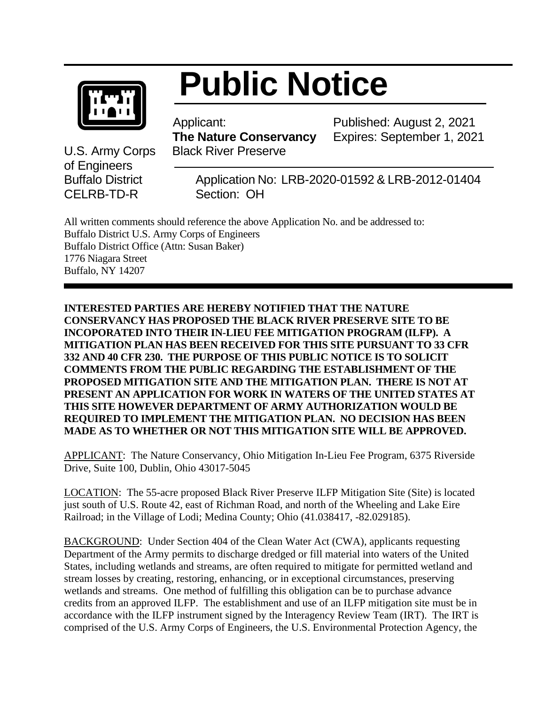

## **Public Notice**

 Applicant:  **The Nature Conservancy** U.S. Army Corps Black River Preserve

Published: August 2, 2021 Expires: September 1, 2021

of Engineers CELRB-TD-RSection: OH

Buffalo District Application No: LRB-2020-01592 & LRB-2012-01404

All written comments should reference the above Application No. and be addressed to: Buffalo District U.S. Army Corps of Engineers Buffalo District Office (Attn: Susan Baker) 1776 Niagara Street Buffalo, NY 14207

**INTERESTED PARTIES ARE HEREBY NOTIFIED THAT THE NATURE CONSERVANCY HAS PROPOSED THE BLACK RIVER PRESERVE SITE TO BE INCOPORATED INTO THEIR IN-LIEU FEE MITIGATION PROGRAM (ILFP). A MITIGATION PLAN HAS BEEN RECEIVED FOR THIS SITE PURSUANT TO 33 CFR 332 AND 40 CFR 230. THE PURPOSE OF THIS PUBLIC NOTICE IS TO SOLICIT COMMENTS FROM THE PUBLIC REGARDING THE ESTABLISHMENT OF THE PROPOSED MITIGATION SITE AND THE MITIGATION PLAN. THERE IS NOT AT PRESENT AN APPLICATION FOR WORK IN WATERS OF THE UNITED STATES AT THIS SITE HOWEVER DEPARTMENT OF ARMY AUTHORIZATION WOULD BE REQUIRED TO IMPLEMENT THE MITIGATION PLAN. NO DECISION HAS BEEN MADE AS TO WHETHER OR NOT THIS MITIGATION SITE WILL BE APPROVED.**

APPLICANT: The Nature Conservancy, Ohio Mitigation In-Lieu Fee Program, 6375 Riverside Drive, Suite 100, Dublin, Ohio 43017-5045

LOCATION: The 55-acre proposed Black River Preserve ILFP Mitigation Site (Site) is located just south of U.S. Route 42, east of Richman Road, and north of the Wheeling and Lake Eire Railroad; in the Village of Lodi; Medina County; Ohio (41.038417, -82.029185).

BACKGROUND: Under Section 404 of the Clean Water Act (CWA), applicants requesting Department of the Army permits to discharge dredged or fill material into waters of the United States, including wetlands and streams, are often required to mitigate for permitted wetland and stream losses by creating, restoring, enhancing, or in exceptional circumstances, preserving wetlands and streams. One method of fulfilling this obligation can be to purchase advance credits from an approved ILFP. The establishment and use of an ILFP mitigation site must be in accordance with the ILFP instrument signed by the Interagency Review Team (IRT). The IRT is comprised of the U.S. Army Corps of Engineers, the U.S. Environmental Protection Agency, the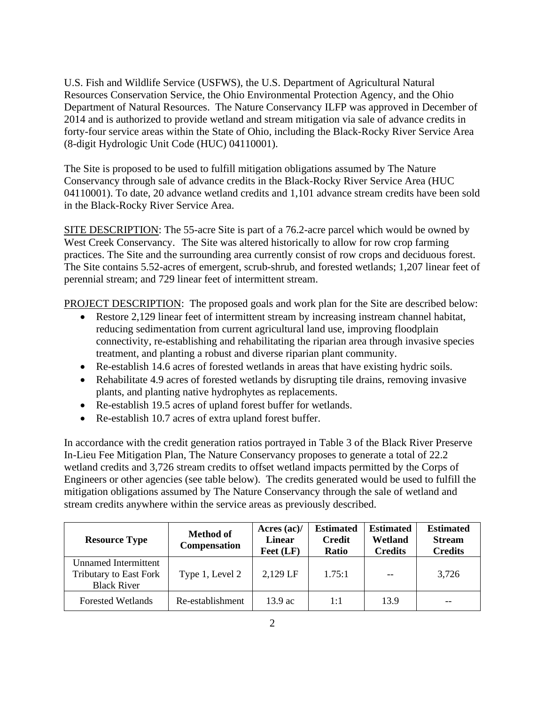U.S. Fish and Wildlife Service (USFWS), the U.S. Department of Agricultural Natural Resources Conservation Service, the Ohio Environmental Protection Agency, and the Ohio Department of Natural Resources. The Nature Conservancy ILFP was approved in December of 2014 and is authorized to provide wetland and stream mitigation via sale of advance credits in forty-four service areas within the State of Ohio, including the Black-Rocky River Service Area (8-digit Hydrologic Unit Code (HUC) 04110001).

The Site is proposed to be used to fulfill mitigation obligations assumed by The Nature Conservancy through sale of advance credits in the Black-Rocky River Service Area (HUC 04110001). To date, 20 advance wetland credits and 1,101 advance stream credits have been sold in the Black-Rocky River Service Area.

SITE DESCRIPTION: The 55-acre Site is part of a 76.2-acre parcel which would be owned by West Creek Conservancy. The Site was altered historically to allow for row crop farming practices. The Site and the surrounding area currently consist of row crops and deciduous forest. The Site contains 5.52-acres of emergent, scrub-shrub, and forested wetlands; 1,207 linear feet of perennial stream; and 729 linear feet of intermittent stream.

PROJECT DESCRIPTION: The proposed goals and work plan for the Site are described below:

- Restore 2,129 linear feet of intermittent stream by increasing instream channel habitat, reducing sedimentation from current agricultural land use, improving floodplain connectivity, re-establishing and rehabilitating the riparian area through invasive species treatment, and planting a robust and diverse riparian plant community.
- Re-establish 14.6 acres of forested wetlands in areas that have existing hydric soils.
- Rehabilitate 4.9 acres of forested wetlands by disrupting tile drains, removing invasive plants, and planting native hydrophytes as replacements.
- Re-establish 19.5 acres of upland forest buffer for wetlands.
- Re-establish 10.7 acres of extra upland forest buffer.

In accordance with the credit generation ratios portrayed in Table 3 of the Black River Preserve In-Lieu Fee Mitigation Plan, The Nature Conservancy proposes to generate a total of 22.2 wetland credits and 3,726 stream credits to offset wetland impacts permitted by the Corps of Engineers or other agencies (see table below). The credits generated would be used to fulfill the mitigation obligations assumed by The Nature Conservancy through the sale of wetland and stream credits anywhere within the service areas as previously described.

| <b>Resource Type</b>                                                               | <b>Method of</b><br>Compensation | Acres $(ac)/$<br><b>Linear</b><br>Feet (LF) | <b>Estimated</b><br><b>Credit</b><br>Ratio | <b>Estimated</b><br>Wetland<br><b>Credits</b> | <b>Estimated</b><br><b>Stream</b><br><b>Credits</b> |
|------------------------------------------------------------------------------------|----------------------------------|---------------------------------------------|--------------------------------------------|-----------------------------------------------|-----------------------------------------------------|
| <b>Unnamed Intermittent</b><br><b>Tributary to East Fork</b><br><b>Black River</b> | Type 1, Level 2                  | 2,129 LF                                    | 1.75:1                                     | $- -$                                         | 3,726                                               |
| <b>Forested Wetlands</b>                                                           | Re-establishment                 | $13.9$ ac.                                  | 1:1                                        | 13.9                                          |                                                     |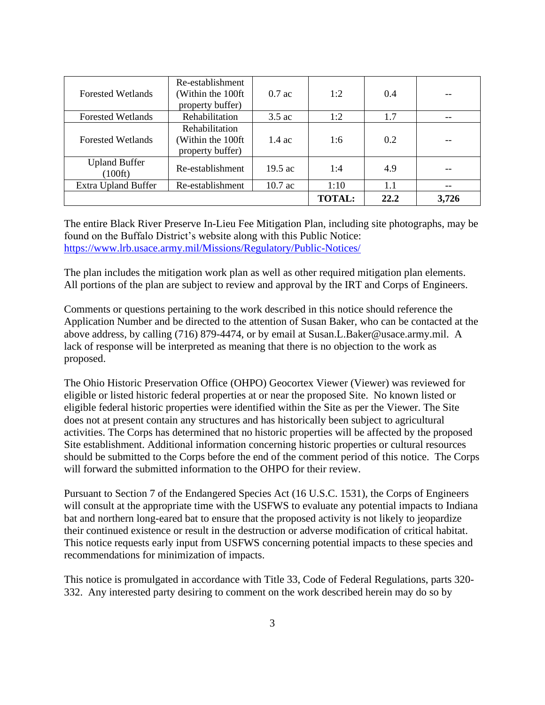| <b>Forested Wetlands</b>                 | Re-establishment<br>Within the 100ft<br>property buffer) | $0.7$ ac         | 1:2           | 0.4  |       |
|------------------------------------------|----------------------------------------------------------|------------------|---------------|------|-------|
| <b>Forested Wetlands</b>                 | Rehabilitation                                           | $3.5$ ac         | 1:2           | 1.7  |       |
| <b>Forested Wetlands</b>                 | Rehabilitation<br>Within the 100ft<br>property buffer)   | $1.4 \text{ ac}$ | 1:6           | 0.2  |       |
| <b>Upland Buffer</b><br>$(100\text{ft})$ | Re-establishment                                         | $19.5$ ac        | 1:4           | 4.9  |       |
| <b>Extra Upland Buffer</b>               | Re-establishment                                         | 10.7 ac          | 1:10          | 1.1  |       |
|                                          |                                                          |                  | <b>TOTAL:</b> | 22.2 | 3,726 |

The entire Black River Preserve In-Lieu Fee Mitigation Plan, including site photographs, may be found on the Buffalo District's website along with this Public Notice: <https://www.lrb.usace.army.mil/Missions/Regulatory/Public-Notices/>

The plan includes the mitigation work plan as well as other required mitigation plan elements. All portions of the plan are subject to review and approval by the IRT and Corps of Engineers.

Comments or questions pertaining to the work described in this notice should reference the Application Number and be directed to the attention of Susan Baker, who can be contacted at the above address, by calling (716) 879-4474, or by email at Susan.L.Baker@usace.army.mil. A lack of response will be interpreted as meaning that there is no objection to the work as proposed.

The Ohio Historic Preservation Office (OHPO) Geocortex Viewer (Viewer) was reviewed for eligible or listed historic federal properties at or near the proposed Site. No known listed or eligible federal historic properties were identified within the Site as per the Viewer. The Site does not at present contain any structures and has historically been subject to agricultural activities. The Corps has determined that no historic properties will be affected by the proposed Site establishment. Additional information concerning historic properties or cultural resources should be submitted to the Corps before the end of the comment period of this notice. The Corps will forward the submitted information to the OHPO for their review.

Pursuant to Section 7 of the Endangered Species Act (16 U.S.C. 1531), the Corps of Engineers will consult at the appropriate time with the USFWS to evaluate any potential impacts to Indiana bat and northern long-eared bat to ensure that the proposed activity is not likely to jeopardize their continued existence or result in the destruction or adverse modification of critical habitat. This notice requests early input from USFWS concerning potential impacts to these species and recommendations for minimization of impacts.

This notice is promulgated in accordance with Title 33, Code of Federal Regulations, parts 320- 332. Any interested party desiring to comment on the work described herein may do so by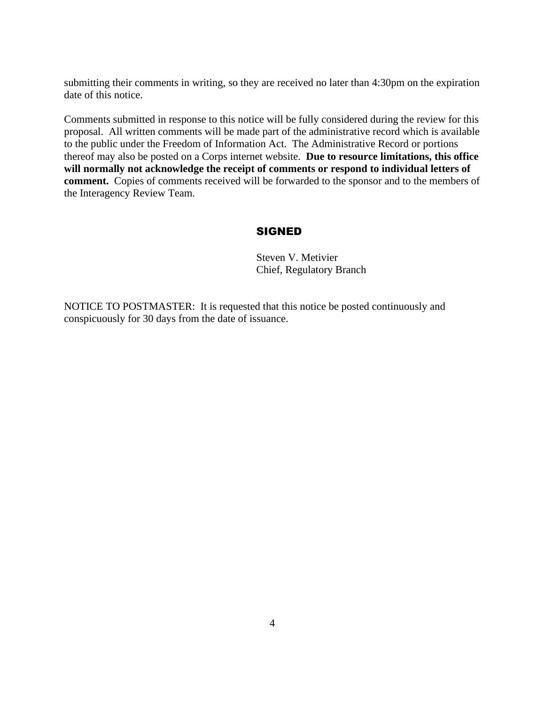submitting their comments in writing, so they are received no later than 4:30pm on the expiration date of this notice.

Comments submitted in response to this notice will be fully considered during the review for this proposal. All written comments will be made part of the administrative record which is available to the public under the Freedom of Information Act. The Administrative Record or portions thereof may also be posted on a Corps internet website. **Due to resource limitations, this office will normally not acknowledge the receipt of comments or respond to individual letters of comment.** Copies of comments received will be forwarded to the sponsor and to the members of the Interagency Review Team.

## SIGNED

Steven V. Metivier Chief, Regulatory Branch

NOTICE TO POSTMASTER: It is requested that this notice be posted continuously and conspicuously for 30 days from the date of issuance.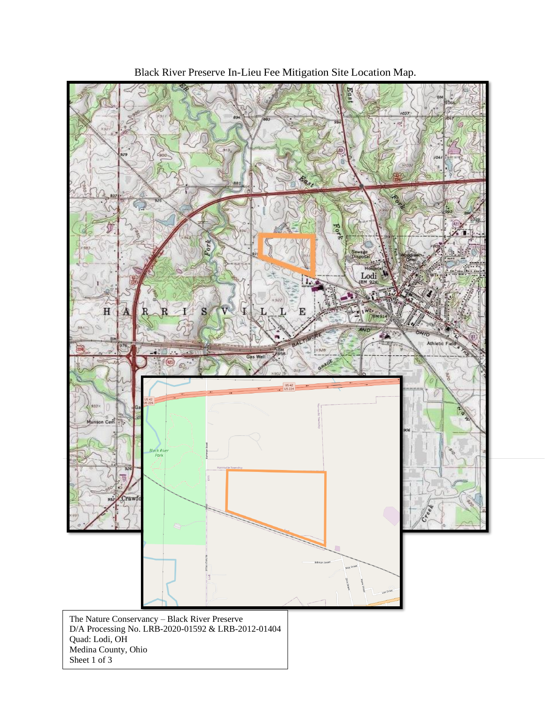

Black River Preserve In-Lieu Fee Mitigation Site Location Map.

Sheet 1 of 3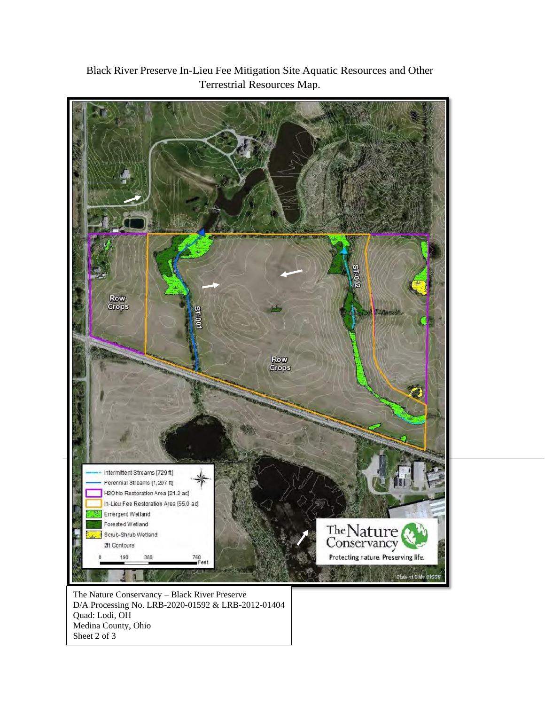

Black River Preserve In-Lieu Fee Mitigation Site Aquatic Resources and Other Terrestrial Resources Map.

The Nature Conservancy – Black River Preserve D/A Processing No. LRB-2020-01592 & LRB-2012-01404 Quad: Lodi, OH Medina County, Ohio Sheet 2 of 3